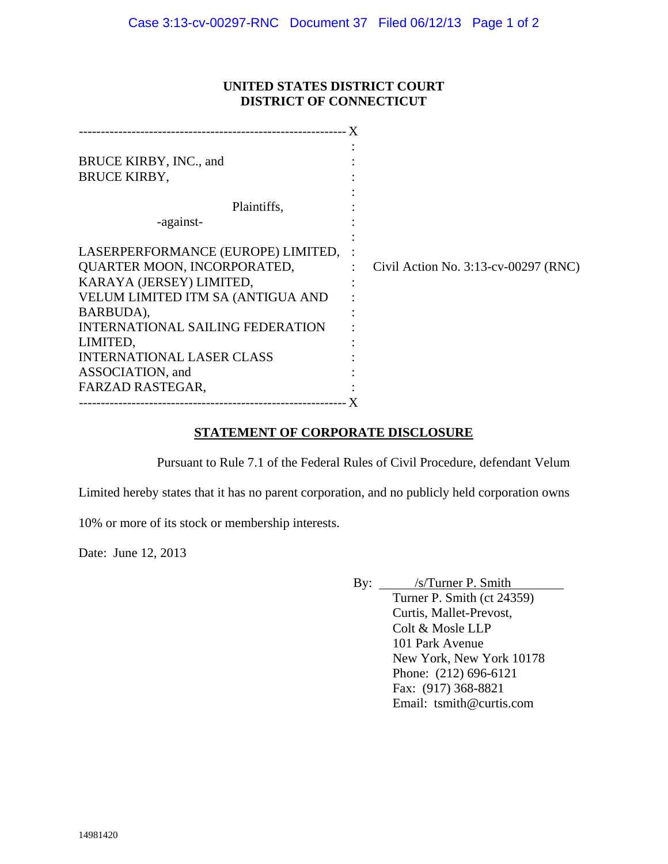## **UNITED STATES DISTRICT COURT DISTRICT OF CONNECTICUT**

| BRUCE KIRBY, INC., and<br><b>BRUCE KIRBY,</b><br>Plaintiffs,<br>-against-                                                                                                                                                                                                          |                                      |
|------------------------------------------------------------------------------------------------------------------------------------------------------------------------------------------------------------------------------------------------------------------------------------|--------------------------------------|
| LASERPERFORMANCE (EUROPE) LIMITED,<br>QUARTER MOON, INCORPORATED,<br>KARAYA (JERSEY) LIMITED,<br>VELUM LIMITED ITM SA (ANTIGUA AND<br>BARBUDA),<br><b>INTERNATIONAL SAILING FEDERATION</b><br>LIMITED,<br><b>INTERNATIONAL LASER CLASS</b><br>ASSOCIATION, and<br>FARZAD RASTEGAR, | Civil Action No. 3:13-cv-00297 (RNC) |

## **STATEMENT OF CORPORATE DISCLOSURE**

Pursuant to Rule 7.1 of the Federal Rules of Civil Procedure, defendant Velum

Limited hereby states that it has no parent corporation, and no publicly held corporation owns

10% or more of its stock or membership interests.

Date: June 12, 2013

By: <u>/s/Turner P. Smith</u> Turner P. Smith (ct 24359) Curtis, Mallet-Prevost, Colt & Mosle LLP 101 Park Avenue New York, New York 10178 Phone: (212) 696-6121 Fax: (917) 368-8821 Email: tsmith@curtis.com